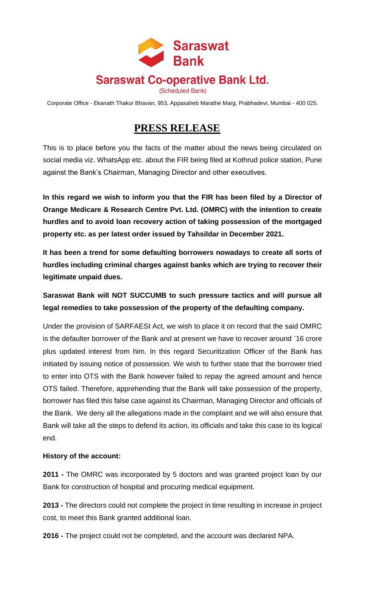

Corporate Office - Ekanath Thakur Bhavan, 953, Appasaheb Marathe Marg, Prabhadevi, Mumbai - 400 025.

## **PRESS RELEASE**

This is to place before you the facts of the matter about the news being circulated on social media viz. WhatsApp etc. about the FIR being filed at Kothrud police station, Pune against the Bank's Chairman, Managing Director and other executives.

**In this regard we wish to inform you that the FIR has been filed by a Director of Orange Medicare & Research Centre Pvt. Ltd. (OMRC) with the intention to create hurdles and to avoid loan recovery action of taking possession of the mortgaged property etc. as per latest order issued by Tahsildar in December 2021.** 

**It has been a trend for some defaulting borrowers nowadays to create all sorts of hurdles including criminal charges against banks which are trying to recover their legitimate unpaid dues.**

## **Saraswat Bank will NOT SUCCUMB to such pressure tactics and will pursue all legal remedies to take possession of the property of the defaulting company.**

Under the provision of SARFAESI Act, we wish to place it on record that the said OMRC is the defaulter borrower of the Bank and at present we have to recover around `16 crore plus updated interest from him. In this regard Securitization Officer of the Bank has initiated by issuing notice of possession. We wish to further state that the borrower tried to enter into OTS with the Bank however failed to repay the agreed amount and hence OTS failed. Therefore, apprehending that the Bank will take possession of the property, borrower has filed this false case against its Chairman, Managing Director and officials of the Bank. We deny all the allegations made in the complaint and we will also ensure that Bank will take all the steps to defend its action, its officials and take this case to its logical end.

## **History of the account:**

**2011 -** The OMRC was incorporated by 5 doctors and was granted project loan by our Bank for construction of hospital and procuring medical equipment.

**2013 -** The directors could not complete the project in time resulting in increase in project cost, to meet this Bank granted additional loan.

**2016 -** The project could not be completed, and the account was declared NPA.